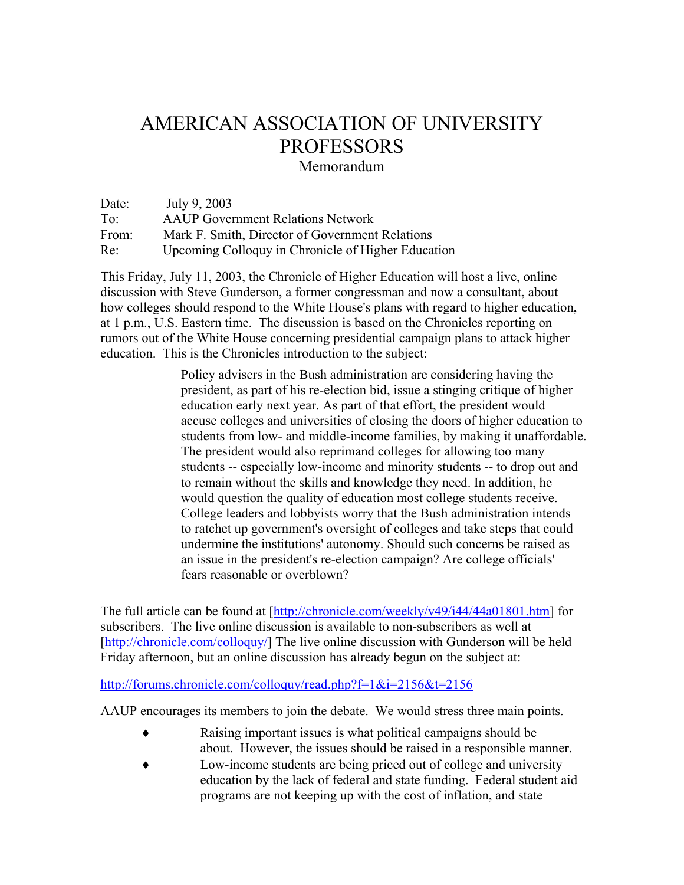## AMERICAN ASSOCIATION OF UNIVERSITY PROFESSORS

Memorandum

Date: July 9, 2003 To: AAUP Government Relations Network From: Mark F. Smith, Director of Government Relations Re: Upcoming Colloquy in Chronicle of Higher Education

This Friday, July 11, 2003, the Chronicle of Higher Education will host a live, online discussion with Steve Gunderson, a former congressman and now a consultant, about how colleges should respond to the White House's plans with regard to higher education, at 1 p.m., U.S. Eastern time. The discussion is based on the Chronicles reporting on rumors out of the White House concerning presidential campaign plans to attack higher education. This is the Chronicles introduction to the subject:

> Policy advisers in the Bush administration are considering having the president, as part of his re-election bid, issue a stinging critique of higher education early next year. As part of that effort, the president would accuse colleges and universities of closing the doors of higher education to students from low- and middle-income families, by making it unaffordable. The president would also reprimand colleges for allowing too many students -- especially low-income and minority students -- to drop out and to remain without the skills and knowledge they need. In addition, he would question the quality of education most college students receive. College leaders and lobbyists worry that the Bush administration intends to ratchet up government's oversight of colleges and take steps that could undermine the institutions' autonomy. Should such concerns be raised as an issue in the president's re-election campaign? Are college officials' fears reasonable or overblown?

The full article can be found at [\[http://chronicle.com/weekly/v49/i44/44a01801.htm](http://chronicle.com/weekly/v49/i44/44a01801.htm)] for subscribers. The live online discussion is available to non-subscribers as well at [[http://chronicle.com/colloquy/\]](http://chronicle.com/colloquy/) The live online discussion with Gunderson will be held Friday afternoon, but an online discussion has already begun on the subject at:

<http://forums.chronicle.com/colloquy/read.php?f=1&i=2156&t=2156>

AAUP encourages its members to join the debate. We would stress three main points.

- ♦ Raising important issues is what political campaigns should be about. However, the issues should be raised in a responsible manner.
- ♦ Low-income students are being priced out of college and university education by the lack of federal and state funding. Federal student aid programs are not keeping up with the cost of inflation, and state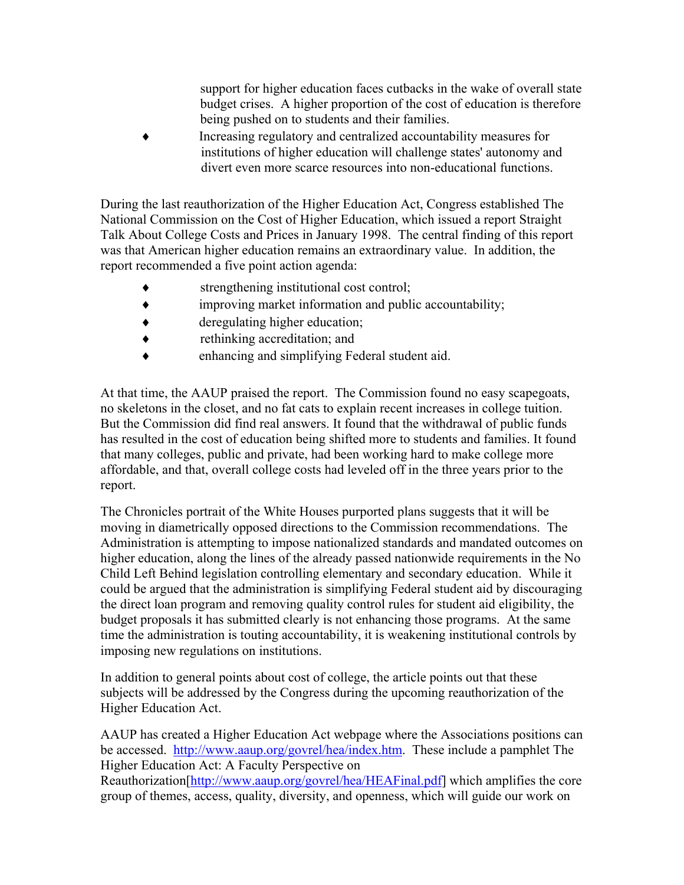support for higher education faces cutbacks in the wake of overall state budget crises. A higher proportion of the cost of education is therefore being pushed on to students and their families.

Increasing regulatory and centralized accountability measures for institutions of higher education will challenge states' autonomy and divert even more scarce resources into non-educational functions.

During the last reauthorization of the Higher Education Act, Congress established The National Commission on the Cost of Higher Education, which issued a report Straight Talk About College Costs and Prices in January 1998. The central finding of this report was that American higher education remains an extraordinary value. In addition, the report recommended a five point action agenda:

- strengthening institutional cost control;
- improving market information and public accountability;
- ♦ deregulating higher education;
- ♦ rethinking accreditation; and
- enhancing and simplifying Federal student aid.

At that time, the AAUP praised the report. The Commission found no easy scapegoats, no skeletons in the closet, and no fat cats to explain recent increases in college tuition. But the Commission did find real answers. It found that the withdrawal of public funds has resulted in the cost of education being shifted more to students and families. It found that many colleges, public and private, had been working hard to make college more affordable, and that, overall college costs had leveled off in the three years prior to the report.

The Chronicles portrait of the White Houses purported plans suggests that it will be moving in diametrically opposed directions to the Commission recommendations. The Administration is attempting to impose nationalized standards and mandated outcomes on higher education, along the lines of the already passed nationwide requirements in the No Child Left Behind legislation controlling elementary and secondary education. While it could be argued that the administration is simplifying Federal student aid by discouraging the direct loan program and removing quality control rules for student aid eligibility, the budget proposals it has submitted clearly is not enhancing those programs. At the same time the administration is touting accountability, it is weakening institutional controls by imposing new regulations on institutions.

In addition to general points about cost of college, the article points out that these subjects will be addressed by the Congress during the upcoming reauthorization of the Higher Education Act.

AAUP has created a Higher Education Act webpage where the Associations positions can be accessed. <http://www.aaup.org/govrel/hea/index.htm>. These include a pamphlet The Higher Education Act: A Faculty Perspective on

Reauthorization[[http://www.aaup.org/govrel/hea/HEAFinal.pdf\]](http://www.aaup.org/govrel/hea/HEAFinal.pdf) which amplifies the core group of themes, access, quality, diversity, and openness, which will guide our work on